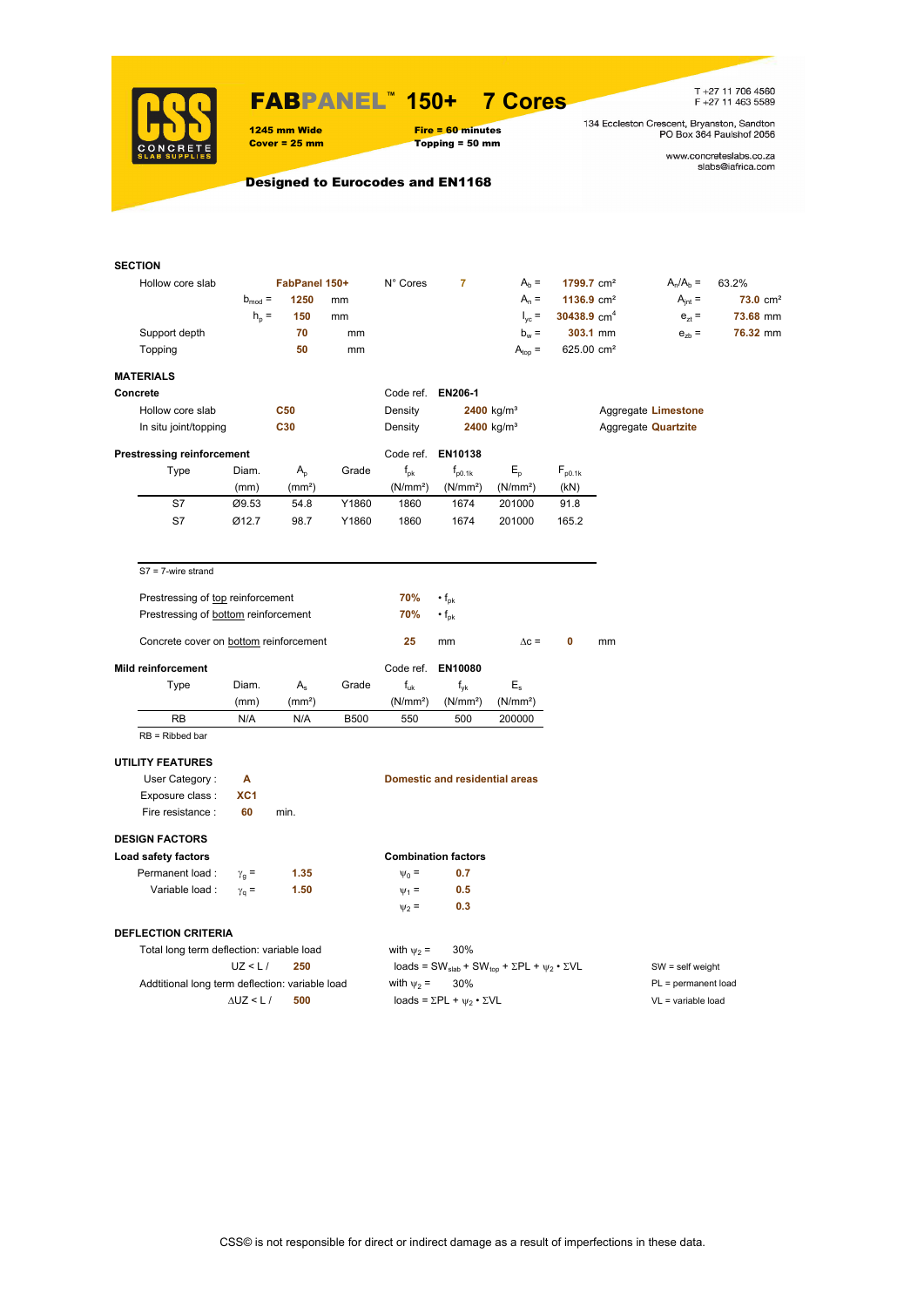

### FABPANEL**™ 150+ 7 Cores**

1245 mm Wide Fire = 60 minutes<br>
Cover = 25 mm Topping = 50 mm  $Topping = 50$  mm

T +27 11 706 4560<br>F +27 11 463 5589

134 Eccleston Crescent, Bryanston, Sandton<br>PO Box 364 Paulshof 2056

www.concreteslabs.co.za<br>slabs@iafrica.com

Designed to Eurocodes and EN1168

| <b>SECTION</b>                    |                       |                                      |                                                 |             |                      |                                                |                                                                                         |                        |                            |                     |                     |  |
|-----------------------------------|-----------------------|--------------------------------------|-------------------------------------------------|-------------|----------------------|------------------------------------------------|-----------------------------------------------------------------------------------------|------------------------|----------------------------|---------------------|---------------------|--|
| Hollow core slab                  |                       |                                      | FabPanel 150+                                   |             | N° Cores             | $\overline{7}$                                 | $Ab =$                                                                                  | 1799.7 cm <sup>2</sup> |                            | $A_n/A_b =$         | 63.2%               |  |
|                                   |                       | $b_{mod} =$                          | 1250                                            | mm          |                      |                                                | $A_n =$                                                                                 | 1136.9 $cm2$           |                            | $A_{int} =$         | $73.0 \text{ cm}^2$ |  |
|                                   |                       | $h_{\rm p}$ =                        | 150                                             | mm          |                      |                                                | $I_{\text{vc}}$ =                                                                       | 30438.9 $cm4$          |                            | $e_{zt} =$          | 73.68 mm            |  |
| Support depth                     |                       |                                      | 70                                              | mm          |                      |                                                | $b_w =$                                                                                 |                        | 303.1 mm                   | $e_{zb}$ =          | 76.32 mm            |  |
| Topping                           |                       |                                      | 50                                              | mm          |                      |                                                | $A_{top} =$                                                                             | 625.00 cm <sup>2</sup> |                            |                     |                     |  |
|                                   |                       |                                      |                                                 |             |                      |                                                |                                                                                         |                        |                            |                     |                     |  |
| <b>MATERIALS</b>                  |                       |                                      |                                                 |             |                      |                                                |                                                                                         |                        |                            |                     |                     |  |
| Concrete                          |                       |                                      |                                                 |             | Code ref. EN206-1    |                                                |                                                                                         |                        |                            |                     |                     |  |
| Hollow core slab                  |                       |                                      | <b>C50</b>                                      |             | Density              |                                                | $2400$ kg/m <sup>3</sup>                                                                |                        |                            | Aggregate Limestone |                     |  |
|                                   | In situ joint/topping |                                      | C30                                             |             | Density              | $2400$ kg/m <sup>3</sup>                       |                                                                                         |                        | Aggregate <b>Quartzite</b> |                     |                     |  |
| <b>Prestressing reinforcement</b> |                       |                                      |                                                 |             |                      | Code ref. EN10138                              |                                                                                         |                        |                            |                     |                     |  |
| Type                              |                       | Diam.                                | $A_{p}$                                         | Grade       | $f_{\rm pk}$         | $f_{p0.1k}$                                    | $E_{\rm p}$                                                                             | $F_{p0.1k}$            |                            |                     |                     |  |
|                                   |                       | (mm)                                 | (mm <sup>2</sup> )                              |             | (N/mm <sup>2</sup> ) | (N/mm <sup>2</sup> )                           | (N/mm <sup>2</sup> )                                                                    | (kN)                   |                            |                     |                     |  |
| S7                                |                       | Ø9.53                                | 54.8                                            | Y1860       | 1860                 | 1674                                           | 201000                                                                                  | 91.8                   |                            |                     |                     |  |
| S7                                |                       | Ø12.7                                | 98.7                                            | Y1860       | 1860                 | 1674                                           | 201000                                                                                  | 165.2                  |                            |                     |                     |  |
|                                   |                       |                                      |                                                 |             |                      |                                                |                                                                                         |                        |                            |                     |                     |  |
| $S7 = 7$ -wire strand             |                       |                                      |                                                 |             |                      |                                                |                                                                                         |                        |                            |                     |                     |  |
|                                   |                       | Prestressing of top reinforcement    |                                                 |             | 70%                  | $\cdot$ f <sub>pk</sub>                        |                                                                                         |                        |                            |                     |                     |  |
|                                   |                       | Prestressing of bottom reinforcement |                                                 |             | 70%                  | $\cdot$ f <sub>pk</sub>                        |                                                                                         |                        |                            |                     |                     |  |
|                                   |                       |                                      |                                                 |             |                      |                                                |                                                                                         |                        |                            |                     |                     |  |
|                                   |                       |                                      | Concrete cover on bottom reinforcement          |             | 25                   | mm                                             | $\Delta c =$                                                                            | 0                      | mm                         |                     |                     |  |
| Mild reinforcement                |                       |                                      |                                                 |             | Code ref.            | EN10080                                        |                                                                                         |                        |                            |                     |                     |  |
| Type                              |                       | Diam.                                | $A_{s}$                                         | Grade       | $f_{uk}$             | $f_{\rm vk}$                                   | $E_{s}$                                                                                 |                        |                            |                     |                     |  |
|                                   |                       | (mm)                                 | (mm <sup>2</sup> )                              |             | (N/mm <sup>2</sup> ) | (N/mm <sup>2</sup> )                           | (N/mm <sup>2</sup> )                                                                    |                        |                            |                     |                     |  |
| RB                                |                       | N/A                                  | N/A                                             | <b>B500</b> | 550                  | 500                                            | 200000                                                                                  |                        |                            |                     |                     |  |
| $RB = Ribbed bar$                 |                       |                                      |                                                 |             |                      |                                                |                                                                                         |                        |                            |                     |                     |  |
| <b>UTILITY FEATURES</b>           |                       |                                      |                                                 |             |                      |                                                |                                                                                         |                        |                            |                     |                     |  |
|                                   | User Category:        | Α                                    |                                                 |             |                      | Domestic and residential areas                 |                                                                                         |                        |                            |                     |                     |  |
| Exposure class:                   |                       | XC1                                  |                                                 |             |                      |                                                |                                                                                         |                        |                            |                     |                     |  |
|                                   | Fire resistance :     | 60                                   | min.                                            |             |                      |                                                |                                                                                         |                        |                            |                     |                     |  |
|                                   |                       |                                      |                                                 |             |                      |                                                |                                                                                         |                        |                            |                     |                     |  |
| <b>DESIGN FACTORS</b>             |                       |                                      |                                                 |             |                      |                                                |                                                                                         |                        |                            |                     |                     |  |
| Load safety factors               |                       |                                      |                                                 |             |                      | <b>Combination factors</b>                     |                                                                                         |                        |                            |                     |                     |  |
| Permanent load:                   |                       | $\gamma_{q}$ =                       | 1.35                                            |             | $\Psi_0 =$           | 0.7                                            |                                                                                         |                        |                            |                     |                     |  |
|                                   | Variable load :       | $\gamma_{q} =$                       | 1.50                                            |             | $\Psi_1$ =           | 0.5                                            |                                                                                         |                        |                            |                     |                     |  |
|                                   |                       |                                      |                                                 |             | $\psi_2$ =           | 0.3                                            |                                                                                         |                        |                            |                     |                     |  |
| <b>DEFLECTION CRITERIA</b>        |                       |                                      |                                                 |             |                      |                                                |                                                                                         |                        |                            |                     |                     |  |
|                                   |                       |                                      | Total long term deflection: variable load       |             | with $\psi_2$ =      | 30%                                            |                                                                                         |                        |                            |                     |                     |  |
|                                   |                       | UZ < L/                              | 250                                             |             |                      |                                                | loads = SW <sub>slab</sub> + SW <sub>top</sub> + $\Sigma$ PL + $\psi_2 \cdot \Sigma$ VL |                        | $SW = self weight$         |                     |                     |  |
|                                   |                       |                                      | Addtitional long term deflection: variable load |             | with $\psi_2$ =      | 30%                                            |                                                                                         |                        | PL = permanent load        |                     |                     |  |
|                                   |                       | $\Delta$ UZ < L /                    | 500                                             |             |                      | loads = $\Sigma$ PL + $\psi_2 \cdot \Sigma$ VL |                                                                                         |                        |                            | VL = variable load  |                     |  |
|                                   |                       |                                      |                                                 |             |                      |                                                |                                                                                         |                        |                            |                     |                     |  |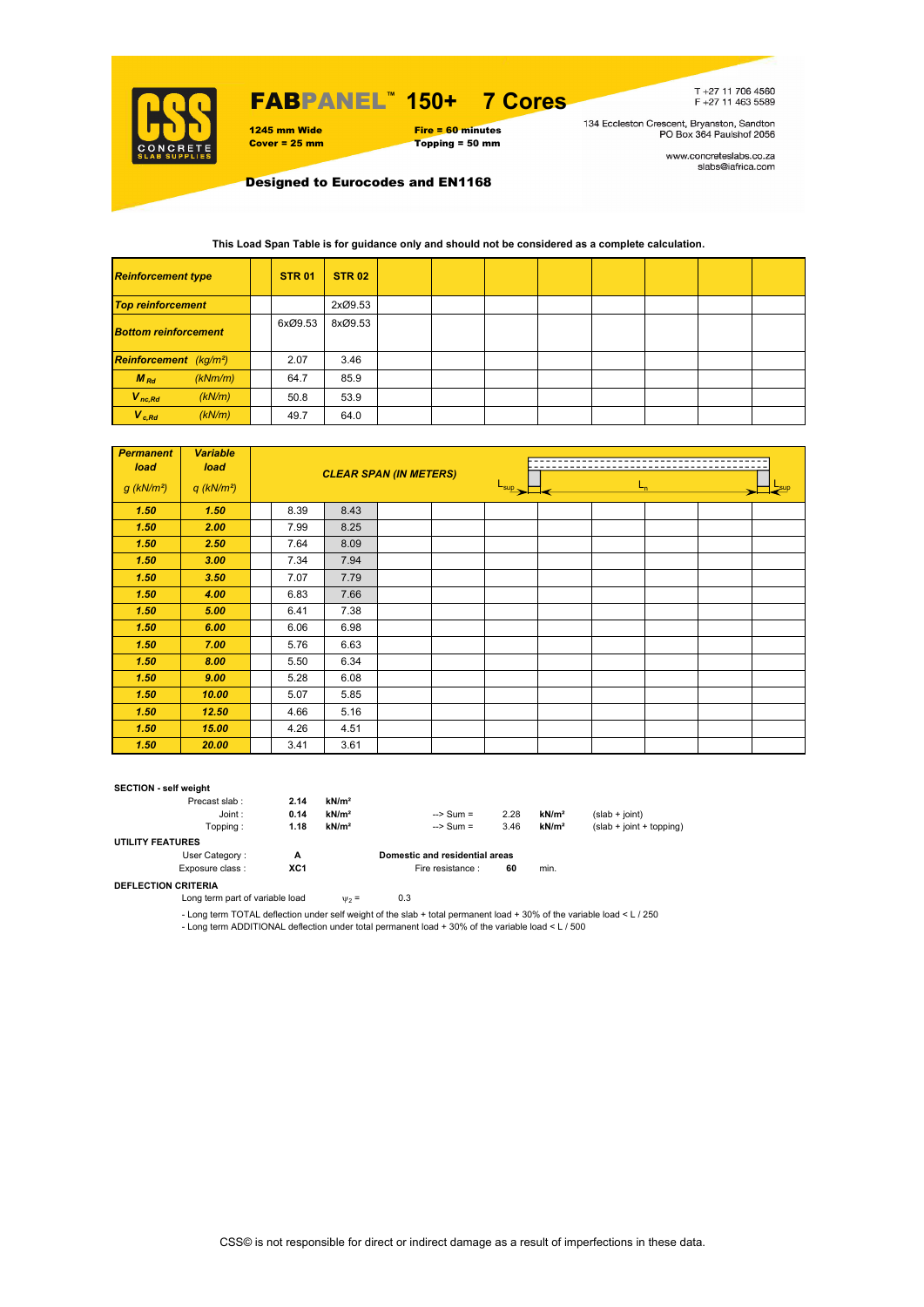

## FABPANEL**™ 150+ 7 Cores**



T+27 11 706 4560<br>F+27 11 463 5589

134 Eccleston Crescent, Bryanston, Sandton<br>PO Box 364 Paulshof 2056

www.concreteslabs.co.za<br>slabs@iafrica.com

Designed to Eurocodes and EN1168

### **This Load Span Table is for guidance only and should not be considered as a complete calculation.**

| <b>Reinforcement type</b>          |  | <b>STR 01</b> | <b>STR 02</b> |  |  |  |  |
|------------------------------------|--|---------------|---------------|--|--|--|--|
| <b>Top reinforcement</b>           |  |               | 2xØ9.53       |  |  |  |  |
| <b>Bottom reinforcement</b>        |  | 6xØ9.53       | 8xØ9.53       |  |  |  |  |
| Reinforcement (kg/m <sup>2</sup> ) |  | 2.07          | 3.46          |  |  |  |  |
| $M_{Rd}$<br>(kNm/m)                |  | 64.7          | 85.9          |  |  |  |  |
| $V_{nc,Rd}$<br>(kN/m)              |  | 50.8          | 53.9          |  |  |  |  |
| $V_{c, Rd}$<br>(kN/m)              |  | 49.7          | 64.0          |  |  |  |  |

| <b>Permanent</b><br>load | <b>Variable</b><br>load  |      |      | <b>CLEAR SPAN (IN METERS)</b> |                  |         |  |  |  |  |
|--------------------------|--------------------------|------|------|-------------------------------|------------------|---------|--|--|--|--|
| $g$ (kN/m <sup>2</sup> ) | $q$ (kN/m <sup>2</sup> ) |      |      |                               | $L_{\text{sup}}$ | $L_{n}$ |  |  |  |  |
| 1.50                     | 1.50                     | 8.39 | 8.43 |                               |                  |         |  |  |  |  |
| 1.50                     | 2.00                     | 7.99 | 8.25 |                               |                  |         |  |  |  |  |
| 1.50                     | 2.50                     | 7.64 | 8.09 |                               |                  |         |  |  |  |  |
| 1.50                     | 3.00                     | 7.34 | 7.94 |                               |                  |         |  |  |  |  |
| 1.50                     | 3.50                     | 7.07 | 7.79 |                               |                  |         |  |  |  |  |
| 1.50                     | 4.00                     | 6.83 | 7.66 |                               |                  |         |  |  |  |  |
| 1.50                     | 5.00                     | 6.41 | 7.38 |                               |                  |         |  |  |  |  |
| 1.50                     | 6.00                     | 6.06 | 6.98 |                               |                  |         |  |  |  |  |
| 1.50                     | 7.00                     | 5.76 | 6.63 |                               |                  |         |  |  |  |  |
| 1.50                     | 8.00                     | 5.50 | 6.34 |                               |                  |         |  |  |  |  |
| 1.50                     | 9.00                     | 5.28 | 6.08 |                               |                  |         |  |  |  |  |
| 1.50                     | 10.00                    | 5.07 | 5.85 |                               |                  |         |  |  |  |  |
| 1.50                     | 12.50                    | 4.66 | 5.16 |                               |                  |         |  |  |  |  |
| 1.50                     | 15.00                    | 4.26 | 4.51 |                               |                  |         |  |  |  |  |
| 1.50                     | 20.00                    | 3.41 | 3.61 |                               |                  |         |  |  |  |  |

#### **SECTION - self weight**

| Precast slab:           | 2.14 | kN/m <sup>2</sup> |                                |      |                   |                            |
|-------------------------|------|-------------------|--------------------------------|------|-------------------|----------------------------|
| Joint:                  | 0.14 | kN/m <sup>2</sup> | $\Rightarrow$ Sum =            | 2.28 | kN/m <sup>2</sup> | $(slab + joint)$           |
| Toppina :               | 1.18 | kN/m <sup>2</sup> | $\Rightarrow$ Sum =            | 3.46 | kN/m <sup>2</sup> | $(slab + joint + topping)$ |
| <b>UTILITY FEATURES</b> |      |                   |                                |      |                   |                            |
| User Category:          | А    |                   | Domestic and residential areas |      |                   |                            |
| Exposure class:         | XC1  |                   | Fire resistance :              | 60   | min.              |                            |
|                         |      |                   |                                |      |                   |                            |

**DEFLECTION CRITERIA**

Long term part of variable load  $v_2 = 0.3$ 

- Long term TOTAL deflection under self weight of the slab + total permanent load + 30% of the variable load < L / 250 - Long term ADDITIONAL deflection under total permanent load + 30% of the variable load < L / 500